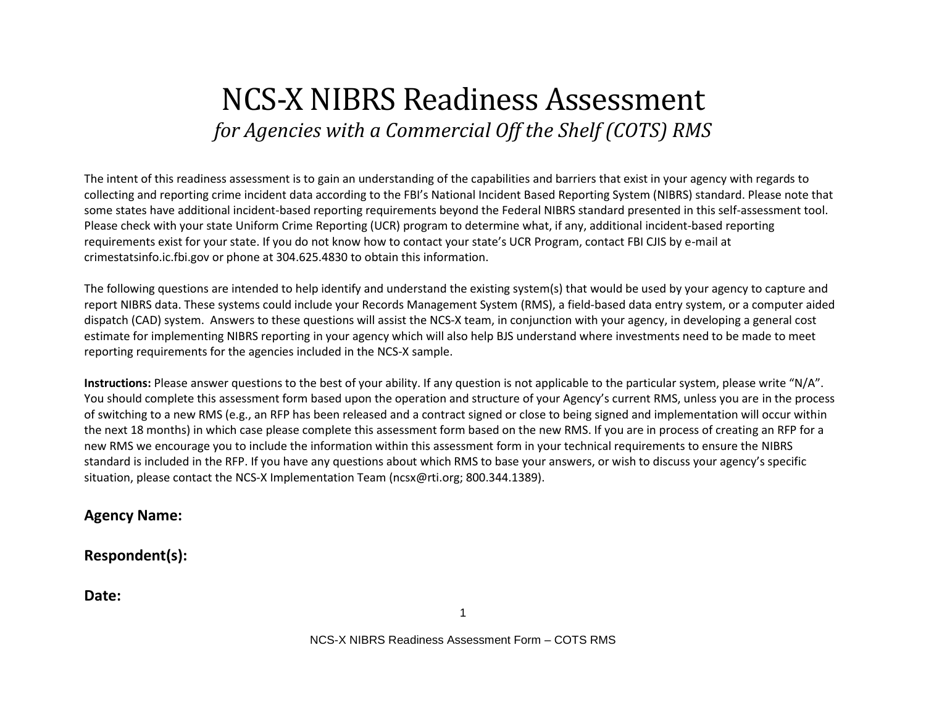# NCS-X NIBRS Readiness Assessment *for Agencies with a Commercial Off the Shelf (COTS) RMS*

The intent of this readiness assessment is to gain an understanding of the capabilities and barriers that exist in your agency with regards to collecting and reporting crime incident data according to the FBI's National Incident Based Reporting System (NIBRS) standard. Please note that some states have additional incident-based reporting requirements beyond the Federal NIBRS standard presented in this self-assessment tool. Please check with your state Uniform Crime Reporting (UCR) program to determine what, if any, additional incident-based reporting requirements exist for your state. If you do not know how to contact your state's UCR Program, contact FBI CJIS by e-mail at crimestatsinfo.ic.fbi.gov or phone at 304.625.4830 to obtain this information.

The following questions are intended to help identify and understand the existing system(s) that would be used by your agency to capture and report NIBRS data. These systems could include your Records Management System (RMS), a field-based data entry system, or a computer aided dispatch (CAD) system. Answers to these questions will assist the NCS-X team, in conjunction with your agency, in developing a general cost estimate for implementing NIBRS reporting in your agency which will also help BJS understand where investments need to be made to meet reporting requirements for the agencies included in the NCS-X sample.

**Instructions:** Please answer questions to the best of your ability. If any question is not applicable to the particular system, please write "N/A". You should complete this assessment form based upon the operation and structure of your Agency's current RMS, unless you are in the process of switching to a new RMS (e.g., an RFP has been released and a contract signed or close to being signed and implementation will occur within the next 18 months) in which case please complete this assessment form based on the new RMS. If you are in process of creating an RFP for a new RMS we encourage you to include the information within this assessment form in your technical requirements to ensure the NIBRS standard is included in the RFP. If you have any questions about which RMS to base your answers, or wish to discuss your agency's specific situation, please contact the NCS-X Implementation Team (ncsx@rti.org; 800.344.1389).

**Agency Name:** 

**Respondent(s):** 

**Date:**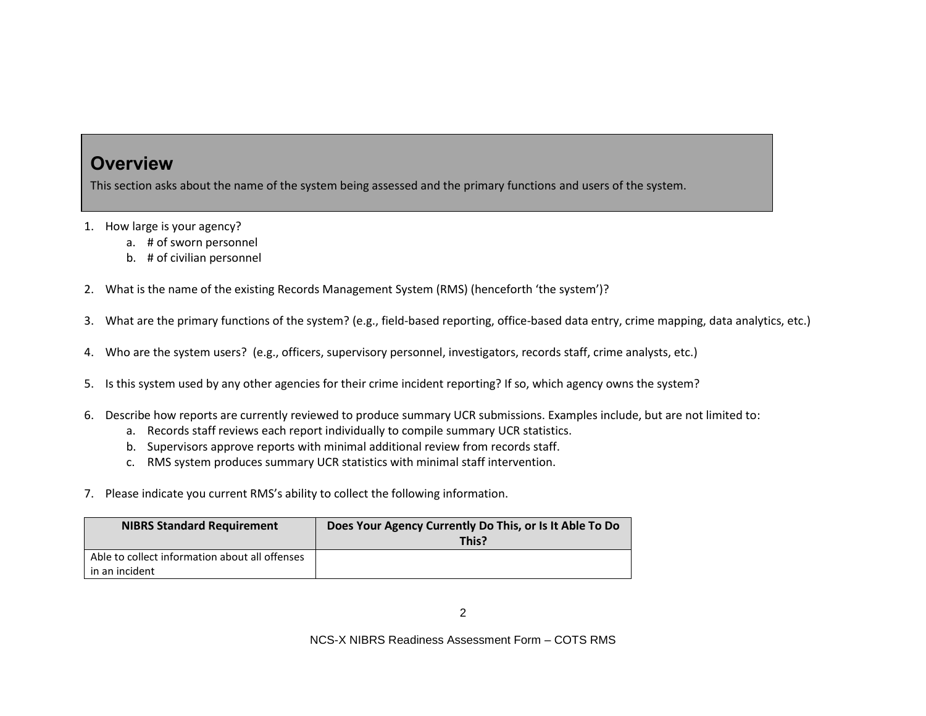#### **Overview**

This section asks about the name of the system being assessed and the primary functions and users of the system.

- 1. How large is your agency?
	- a. # of sworn personnel
	- b. # of civilian personnel
- 2. What is the name of the existing Records Management System (RMS) (henceforth 'the system')?
- 3. What are the primary functions of the system? (e.g., field-based reporting, office-based data entry, crime mapping, data analytics, etc.)
- 4. Who are the system users? (e.g., officers, supervisory personnel, investigators, records staff, crime analysts, etc.)
- 5. Is this system used by any other agencies for their crime incident reporting? If so, which agency owns the system?
- 6. Describe how reports are currently reviewed to produce summary UCR submissions. Examples include, but are not limited to:
	- a. Records staff reviews each report individually to compile summary UCR statistics.
	- b. Supervisors approve reports with minimal additional review from records staff.
	- c. RMS system produces summary UCR statistics with minimal staff intervention.
- 7. Please indicate you current RMS's ability to collect the following information.

| <b>NIBRS Standard Requirement</b>                                | Does Your Agency Currently Do This, or Is It Able To Do<br>This? |
|------------------------------------------------------------------|------------------------------------------------------------------|
| Able to collect information about all offenses<br>in an incident |                                                                  |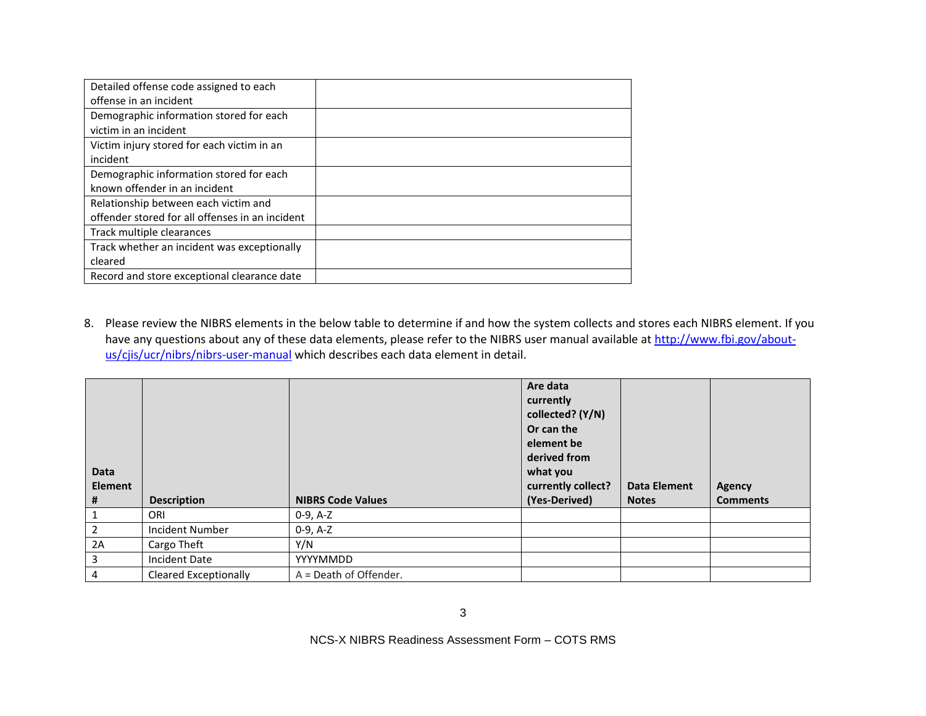| Detailed offense code assigned to each          |  |
|-------------------------------------------------|--|
| offense in an incident                          |  |
| Demographic information stored for each         |  |
| victim in an incident                           |  |
| Victim injury stored for each victim in an      |  |
| incident                                        |  |
| Demographic information stored for each         |  |
| known offender in an incident                   |  |
| Relationship between each victim and            |  |
| offender stored for all offenses in an incident |  |
| Track multiple clearances                       |  |
| Track whether an incident was exceptionally     |  |
| cleared                                         |  |
| Record and store exceptional clearance date     |  |

8. Please review the NIBRS elements in the below table to determine if and how the system collects and stores each NIBRS element. If you have any questions about any of these data elements, please refer to the NIBRS user manual available a[t http://www.fbi.gov/about](http://www.fbi.gov/about-us/cjis/ucr/nibrs/nibrs-user-manual)[us/cjis/ucr/nibrs/nibrs-user-manual](http://www.fbi.gov/about-us/cjis/ucr/nibrs/nibrs-user-manual) which describes each data element in detail.

| <b>Data</b><br><b>Element</b> |                              |                          | Are data<br>currently<br>collected? (Y/N)<br>Or can the<br>element be<br>derived from<br>what you<br>currently collect? | <b>Data Element</b> |                           |
|-------------------------------|------------------------------|--------------------------|-------------------------------------------------------------------------------------------------------------------------|---------------------|---------------------------|
| #                             | <b>Description</b>           | <b>NIBRS Code Values</b> | (Yes-Derived)                                                                                                           | <b>Notes</b>        | Agency<br><b>Comments</b> |
| 1                             | ORI                          | $0-9, A-Z$               |                                                                                                                         |                     |                           |
| $\overline{2}$                | Incident Number              | $0-9, A-Z$               |                                                                                                                         |                     |                           |
| 2A                            | Cargo Theft                  | Y/N                      |                                                                                                                         |                     |                           |
| 3                             | Incident Date                | <b>YYYYMMDD</b>          |                                                                                                                         |                     |                           |
| 4                             | <b>Cleared Exceptionally</b> | $A = Death of Offender.$ |                                                                                                                         |                     |                           |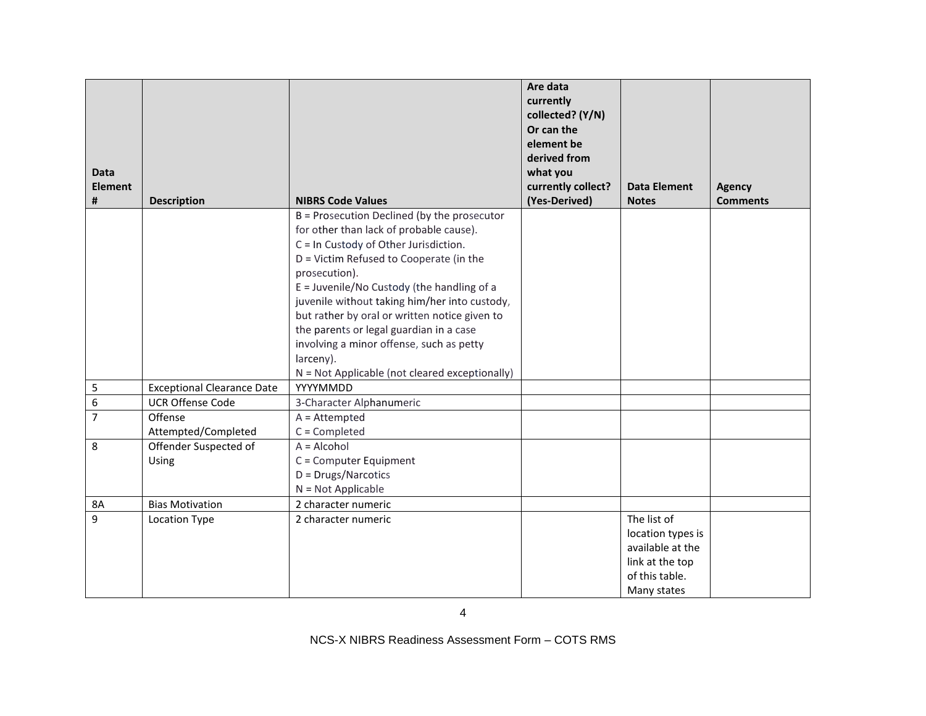|                |                                   |                                                                                  | Are data<br>currently<br>collected? (Y/N)<br>Or can the |                                       |                 |
|----------------|-----------------------------------|----------------------------------------------------------------------------------|---------------------------------------------------------|---------------------------------------|-----------------|
|                |                                   |                                                                                  | element be                                              |                                       |                 |
|                |                                   |                                                                                  | derived from                                            |                                       |                 |
| <b>Data</b>    |                                   |                                                                                  | what you                                                |                                       |                 |
| <b>Element</b> |                                   |                                                                                  | currently collect?                                      | <b>Data Element</b>                   | <b>Agency</b>   |
| #              | <b>Description</b>                | <b>NIBRS Code Values</b>                                                         | (Yes-Derived)                                           | <b>Notes</b>                          | <b>Comments</b> |
|                |                                   | B = Prosecution Declined (by the prosecutor                                      |                                                         |                                       |                 |
|                |                                   | for other than lack of probable cause).<br>C = In Custody of Other Jurisdiction. |                                                         |                                       |                 |
|                |                                   | D = Victim Refused to Cooperate (in the                                          |                                                         |                                       |                 |
|                |                                   | prosecution).                                                                    |                                                         |                                       |                 |
|                |                                   | E = Juvenile/No Custody (the handling of a                                       |                                                         |                                       |                 |
|                |                                   | juvenile without taking him/her into custody,                                    |                                                         |                                       |                 |
|                |                                   | but rather by oral or written notice given to                                    |                                                         |                                       |                 |
|                |                                   | the parents or legal guardian in a case                                          |                                                         |                                       |                 |
|                |                                   | involving a minor offense, such as petty                                         |                                                         |                                       |                 |
|                |                                   | larceny).                                                                        |                                                         |                                       |                 |
|                |                                   | N = Not Applicable (not cleared exceptionally)                                   |                                                         |                                       |                 |
| 5              | <b>Exceptional Clearance Date</b> | YYYYMMDD                                                                         |                                                         |                                       |                 |
| 6              | <b>UCR Offense Code</b>           | 3-Character Alphanumeric                                                         |                                                         |                                       |                 |
| $\overline{7}$ | Offense                           | $A =$ Attempted                                                                  |                                                         |                                       |                 |
|                | Attempted/Completed               | $C =$ Completed                                                                  |                                                         |                                       |                 |
| 8              | Offender Suspected of             | $A = Alcohol$                                                                    |                                                         |                                       |                 |
|                | Using                             | C = Computer Equipment                                                           |                                                         |                                       |                 |
|                |                                   | D = Drugs/Narcotics                                                              |                                                         |                                       |                 |
|                |                                   | $N = Not Applicable$                                                             |                                                         |                                       |                 |
| <b>8A</b>      | <b>Bias Motivation</b>            | 2 character numeric                                                              |                                                         |                                       |                 |
| 9              | Location Type                     | 2 character numeric                                                              |                                                         | The list of                           |                 |
|                |                                   |                                                                                  |                                                         | location types is<br>available at the |                 |
|                |                                   |                                                                                  |                                                         | link at the top                       |                 |
|                |                                   |                                                                                  |                                                         | of this table.                        |                 |
|                |                                   |                                                                                  |                                                         | Many states                           |                 |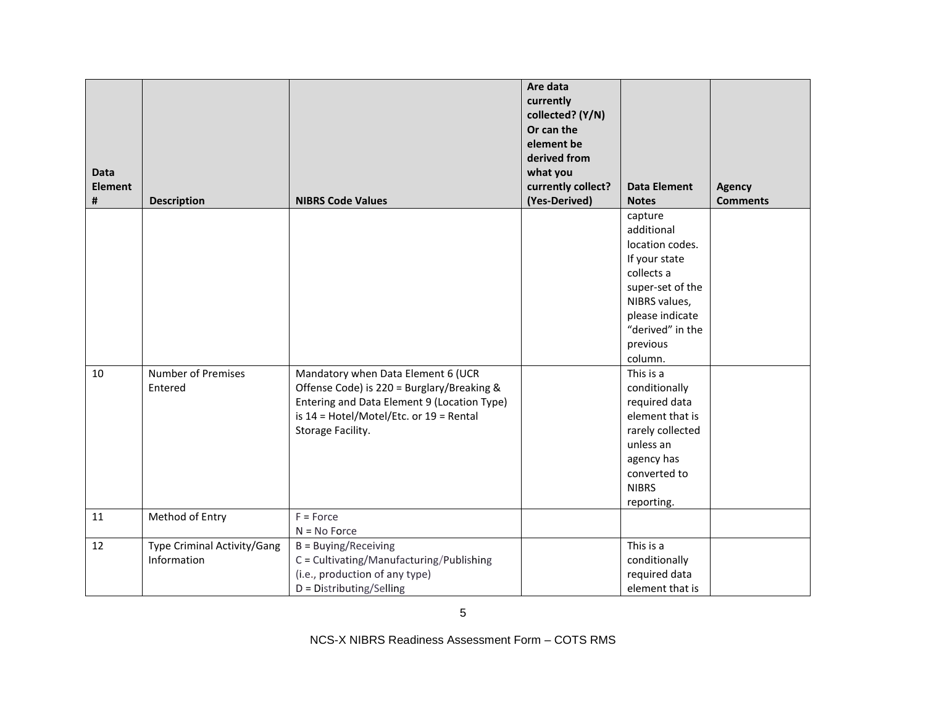| <b>Data</b><br><b>Element</b> |                                            |                                                                                                                                                                                                     | Are data<br>currently<br>collected? (Y/N)<br>Or can the<br>element be<br>derived from<br>what you<br>currently collect? | <b>Data Element</b>                                                                                                                                                        |                                  |
|-------------------------------|--------------------------------------------|-----------------------------------------------------------------------------------------------------------------------------------------------------------------------------------------------------|-------------------------------------------------------------------------------------------------------------------------|----------------------------------------------------------------------------------------------------------------------------------------------------------------------------|----------------------------------|
| #                             | <b>Description</b>                         | <b>NIBRS Code Values</b>                                                                                                                                                                            | (Yes-Derived)                                                                                                           | <b>Notes</b>                                                                                                                                                               | <b>Agency</b><br><b>Comments</b> |
|                               |                                            |                                                                                                                                                                                                     |                                                                                                                         | capture<br>additional<br>location codes.<br>If your state<br>collects a<br>super-set of the<br>NIBRS values,<br>please indicate<br>"derived" in the<br>previous<br>column. |                                  |
| 10                            | <b>Number of Premises</b><br>Entered       | Mandatory when Data Element 6 (UCR<br>Offense Code) is 220 = Burglary/Breaking &<br>Entering and Data Element 9 (Location Type)<br>is $14$ = Hotel/Motel/Etc. or $19$ = Rental<br>Storage Facility. |                                                                                                                         | This is a<br>conditionally<br>required data<br>element that is<br>rarely collected<br>unless an<br>agency has<br>converted to<br><b>NIBRS</b><br>reporting.                |                                  |
| 11                            | Method of Entry                            | $F = Force$                                                                                                                                                                                         |                                                                                                                         |                                                                                                                                                                            |                                  |
| 12                            | Type Criminal Activity/Gang<br>Information | $N = No$ Force<br>B = Buying/Receiving<br>C = Cultivating/Manufacturing/Publishing<br>(i.e., production of any type)<br>D = Distributing/Selling                                                    |                                                                                                                         | This is a<br>conditionally<br>required data<br>element that is                                                                                                             |                                  |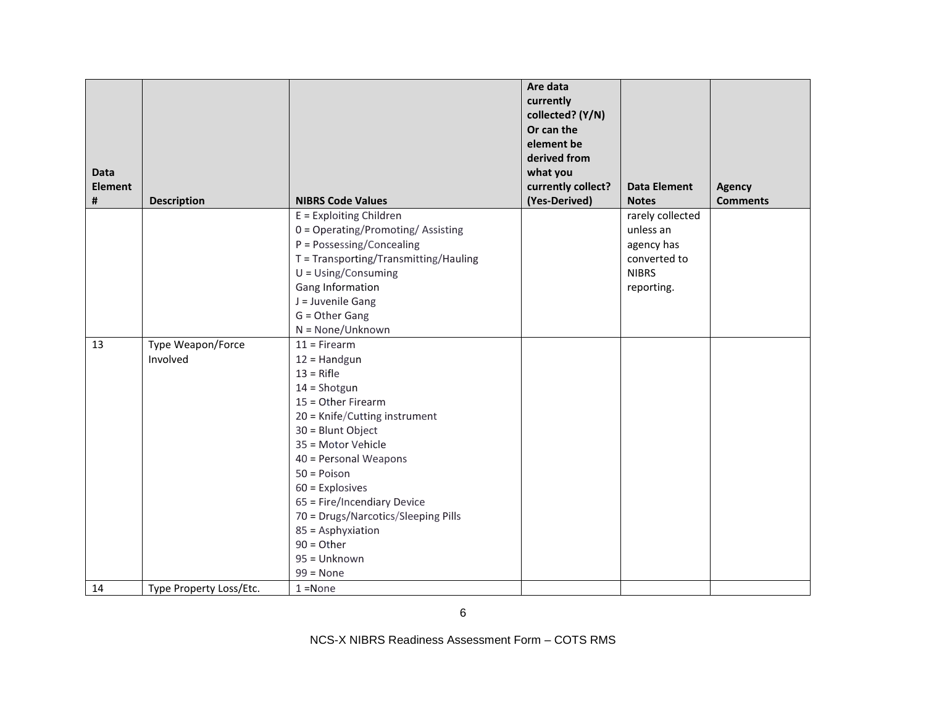| <b>Data</b>    |                         |                                                                                                                                                                                                                                                                                                                                                              | Are data<br>currently<br>collected? (Y/N)<br>Or can the<br>element be<br>derived from<br>what you |                                                                                           |                 |
|----------------|-------------------------|--------------------------------------------------------------------------------------------------------------------------------------------------------------------------------------------------------------------------------------------------------------------------------------------------------------------------------------------------------------|---------------------------------------------------------------------------------------------------|-------------------------------------------------------------------------------------------|-----------------|
| <b>Element</b> |                         |                                                                                                                                                                                                                                                                                                                                                              | currently collect?                                                                                | <b>Data Element</b>                                                                       | <b>Agency</b>   |
| #              | <b>Description</b>      | <b>NIBRS Code Values</b>                                                                                                                                                                                                                                                                                                                                     | (Yes-Derived)                                                                                     | <b>Notes</b>                                                                              | <b>Comments</b> |
|                |                         | E = Exploiting Children<br>0 = Operating/Promoting/Assisting<br>P = Possessing/Concealing<br>T = Transporting/Transmitting/Hauling<br>$U = Using/Consuming$<br>Gang Information<br>J = Juvenile Gang<br>G = Other Gang                                                                                                                                       |                                                                                                   | rarely collected<br>unless an<br>agency has<br>converted to<br><b>NIBRS</b><br>reporting. |                 |
| 13             | Type Weapon/Force       | $N = None/Unknown$<br>$11 =$ Firearm                                                                                                                                                                                                                                                                                                                         |                                                                                                   |                                                                                           |                 |
|                | Involved                | $12 =$ Handgun<br>$13 =$ Rifle<br>$14 =$ Shotgun<br>15 = Other Firearm<br>20 = Knife/Cutting instrument<br>30 = Blunt Object<br>35 = Motor Vehicle<br>40 = Personal Weapons<br>$50 = Poisson$<br>$60$ = Explosives<br>65 = Fire/Incendiary Device<br>70 = Drugs/Narcotics/Sleeping Pills<br>85 = Asphyxiation<br>$90 = Other$<br>95 = Unknown<br>$99 = None$ |                                                                                                   |                                                                                           |                 |
| 14             | Type Property Loss/Etc. | $1 = None$                                                                                                                                                                                                                                                                                                                                                   |                                                                                                   |                                                                                           |                 |

6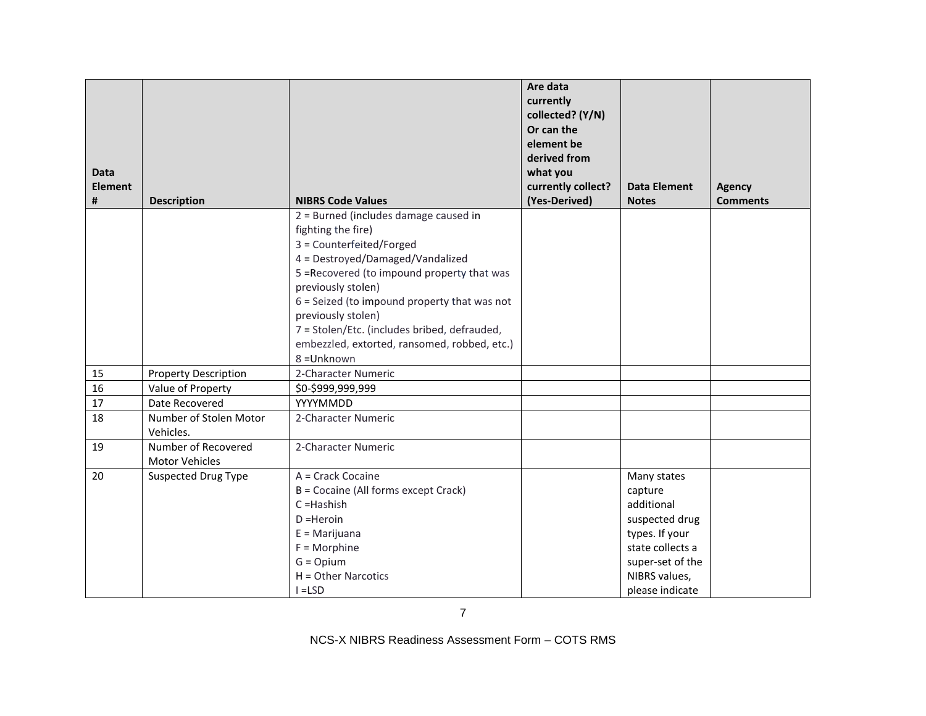| <b>Data</b>    |                                              |                                                | Are data<br>currently<br>collected? (Y/N)<br>Or can the<br>element be<br>derived from<br>what you |                     |                 |
|----------------|----------------------------------------------|------------------------------------------------|---------------------------------------------------------------------------------------------------|---------------------|-----------------|
| <b>Element</b> |                                              |                                                | currently collect?                                                                                | <b>Data Element</b> | <b>Agency</b>   |
| #              | <b>Description</b>                           | <b>NIBRS Code Values</b>                       | (Yes-Derived)                                                                                     | <b>Notes</b>        | <b>Comments</b> |
|                |                                              | 2 = Burned (includes damage caused in          |                                                                                                   |                     |                 |
|                |                                              | fighting the fire)<br>3 = Counterfeited/Forged |                                                                                                   |                     |                 |
|                |                                              | 4 = Destroyed/Damaged/Vandalized               |                                                                                                   |                     |                 |
|                |                                              | 5 = Recovered (to impound property that was    |                                                                                                   |                     |                 |
|                |                                              | previously stolen)                             |                                                                                                   |                     |                 |
|                |                                              | $6$ = Seized (to impound property that was not |                                                                                                   |                     |                 |
|                |                                              | previously stolen)                             |                                                                                                   |                     |                 |
|                |                                              | 7 = Stolen/Etc. (includes bribed, defrauded,   |                                                                                                   |                     |                 |
|                |                                              | embezzled, extorted, ransomed, robbed, etc.)   |                                                                                                   |                     |                 |
|                |                                              | 8 = Unknown                                    |                                                                                                   |                     |                 |
| 15             | <b>Property Description</b>                  | 2-Character Numeric                            |                                                                                                   |                     |                 |
| 16             | Value of Property                            | \$0-\$999,999,999                              |                                                                                                   |                     |                 |
| 17             | Date Recovered                               | YYYYMMDD                                       |                                                                                                   |                     |                 |
| 18             | Number of Stolen Motor                       | 2-Character Numeric                            |                                                                                                   |                     |                 |
|                | Vehicles.                                    |                                                |                                                                                                   |                     |                 |
| 19             | Number of Recovered<br><b>Motor Vehicles</b> | 2-Character Numeric                            |                                                                                                   |                     |                 |
| 20             | <b>Suspected Drug Type</b>                   | A = Crack Cocaine                              |                                                                                                   | Many states         |                 |
|                |                                              | B = Cocaine (All forms except Crack)           |                                                                                                   | capture             |                 |
|                |                                              | C=Hashish                                      |                                                                                                   | additional          |                 |
|                |                                              | $D = Heroin$                                   |                                                                                                   | suspected drug      |                 |
|                |                                              | $E =$ Marijuana                                |                                                                                                   | types. If your      |                 |
|                |                                              | $F = Morphine$                                 |                                                                                                   | state collects a    |                 |
|                |                                              | $G = Opium$                                    |                                                                                                   | super-set of the    |                 |
|                |                                              | H = Other Narcotics                            |                                                                                                   | NIBRS values,       |                 |
|                |                                              | $I = LSD$                                      |                                                                                                   | please indicate     |                 |

7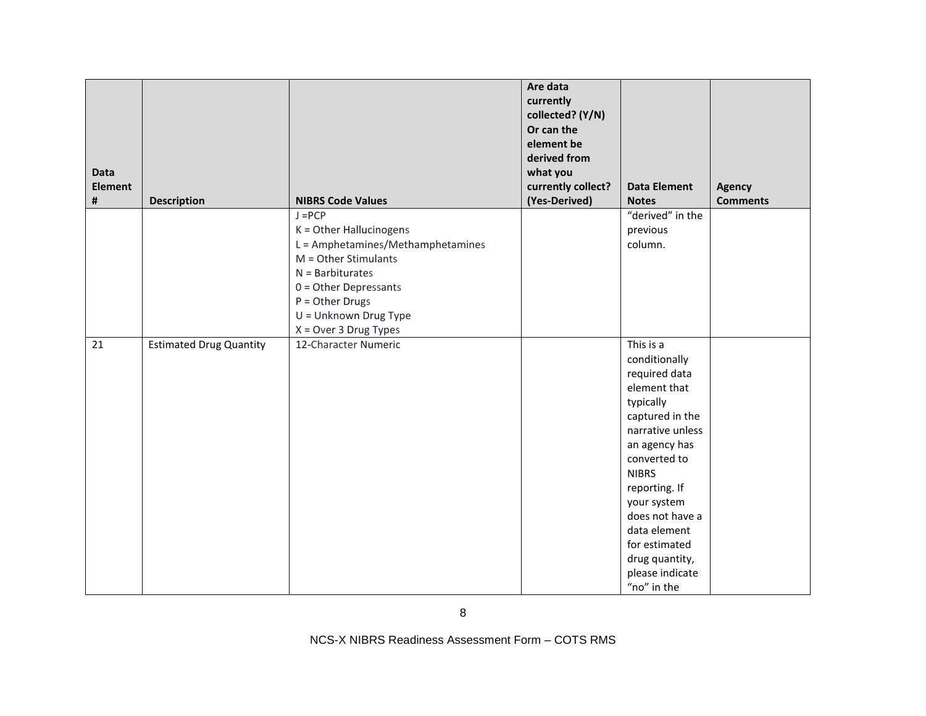| <b>Data</b><br><b>Element</b><br># | <b>Description</b>             | <b>NIBRS Code Values</b>                                                                                                                                                                                                      | Are data<br>currently<br>collected? (Y/N)<br>Or can the<br>element be<br>derived from<br>what you<br>currently collect?<br>(Yes-Derived) | <b>Data Element</b><br><b>Notes</b>                                                                                                                                                                                                                                                                      | <b>Agency</b><br><b>Comments</b> |
|------------------------------------|--------------------------------|-------------------------------------------------------------------------------------------------------------------------------------------------------------------------------------------------------------------------------|------------------------------------------------------------------------------------------------------------------------------------------|----------------------------------------------------------------------------------------------------------------------------------------------------------------------------------------------------------------------------------------------------------------------------------------------------------|----------------------------------|
|                                    |                                | $J = PCP$<br>K = Other Hallucinogens<br>L = Amphetamines/Methamphetamines<br>$M =$ Other Stimulants<br>$N =$ Barbiturates<br>$0 =$ Other Depressants<br>$P = Other Drugs$<br>U = Unknown Drug Type<br>$X = Over 3 Drug Types$ |                                                                                                                                          | "derived" in the<br>previous<br>column.                                                                                                                                                                                                                                                                  |                                  |
| 21                                 | <b>Estimated Drug Quantity</b> | 12-Character Numeric                                                                                                                                                                                                          |                                                                                                                                          | This is a<br>conditionally<br>required data<br>element that<br>typically<br>captured in the<br>narrative unless<br>an agency has<br>converted to<br><b>NIBRS</b><br>reporting. If<br>your system<br>does not have a<br>data element<br>for estimated<br>drug quantity,<br>please indicate<br>"no" in the |                                  |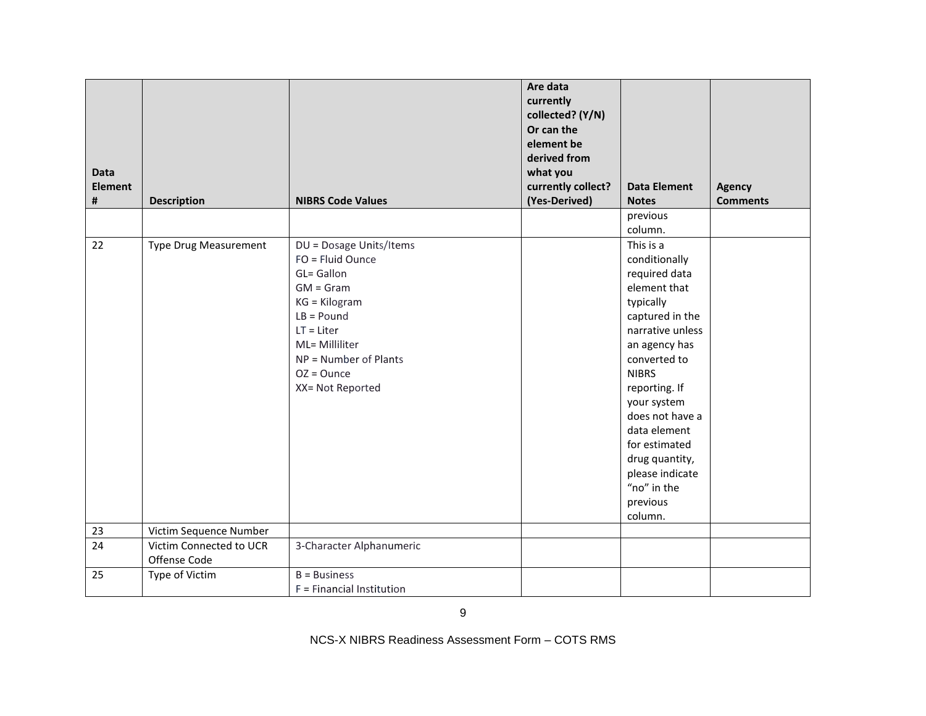| <b>Data</b><br><b>Element</b><br># | <b>Description</b>                      | <b>NIBRS Code Values</b>                                                                                                                                                                                  | Are data<br>currently<br>collected? (Y/N)<br>Or can the<br>element be<br>derived from<br>what you<br>currently collect?<br>(Yes-Derived) | <b>Data Element</b><br><b>Notes</b><br>previous                                                                                                                                                                                                                                                                                 | <b>Agency</b><br><b>Comments</b> |
|------------------------------------|-----------------------------------------|-----------------------------------------------------------------------------------------------------------------------------------------------------------------------------------------------------------|------------------------------------------------------------------------------------------------------------------------------------------|---------------------------------------------------------------------------------------------------------------------------------------------------------------------------------------------------------------------------------------------------------------------------------------------------------------------------------|----------------------------------|
|                                    |                                         |                                                                                                                                                                                                           |                                                                                                                                          | column.                                                                                                                                                                                                                                                                                                                         |                                  |
| 22                                 | <b>Type Drug Measurement</b>            | DU = Dosage Units/Items<br>FO = Fluid Ounce<br>GL= Gallon<br>$GM = Gram$<br>KG = Kilogram<br>$LB =$ Pound<br>$LT = Liter$<br>ML= Milliliter<br>NP = Number of Plants<br>$OZ = O$ unce<br>XX= Not Reported |                                                                                                                                          | This is a<br>conditionally<br>required data<br>element that<br>typically<br>captured in the<br>narrative unless<br>an agency has<br>converted to<br><b>NIBRS</b><br>reporting. If<br>your system<br>does not have a<br>data element<br>for estimated<br>drug quantity,<br>please indicate<br>"no" in the<br>previous<br>column. |                                  |
| 23                                 | Victim Sequence Number                  |                                                                                                                                                                                                           |                                                                                                                                          |                                                                                                                                                                                                                                                                                                                                 |                                  |
| 24                                 | Victim Connected to UCR<br>Offense Code | 3-Character Alphanumeric                                                                                                                                                                                  |                                                                                                                                          |                                                                                                                                                                                                                                                                                                                                 |                                  |
| 25                                 | Type of Victim                          | $B = Business$<br>F = Financial Institution                                                                                                                                                               |                                                                                                                                          |                                                                                                                                                                                                                                                                                                                                 |                                  |

9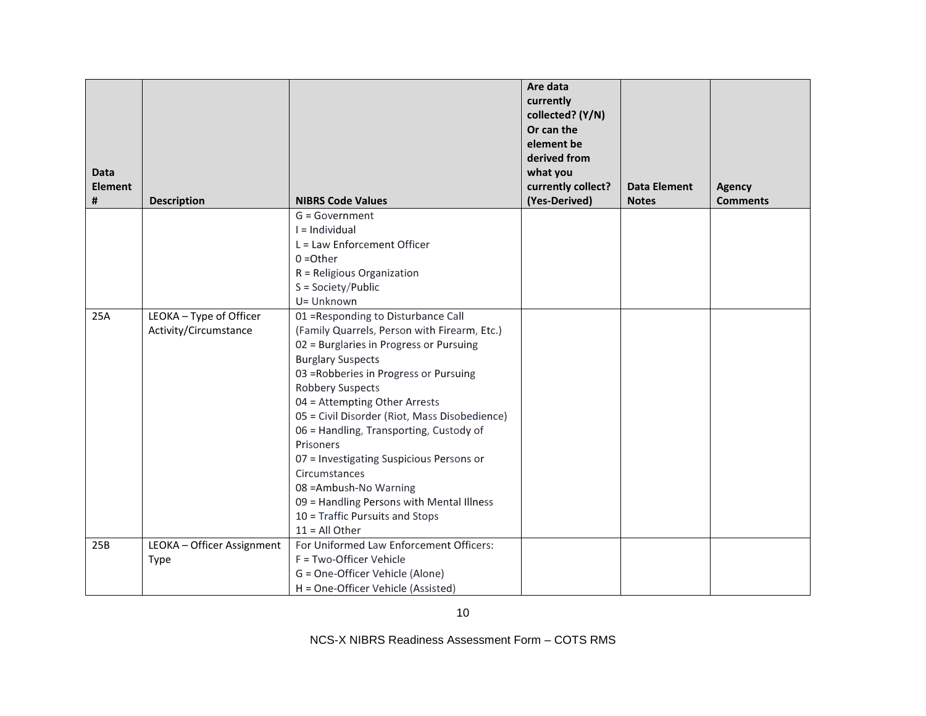|                     |                            |                                                                              | Are data<br>currently<br>collected? (Y/N)<br>Or can the<br>element be<br>derived from |                                     |                                  |
|---------------------|----------------------------|------------------------------------------------------------------------------|---------------------------------------------------------------------------------------|-------------------------------------|----------------------------------|
| <b>Data</b>         |                            |                                                                              | what you                                                                              |                                     |                                  |
| <b>Element</b><br># | <b>Description</b>         | <b>NIBRS Code Values</b>                                                     | currently collect?<br>(Yes-Derived)                                                   | <b>Data Element</b><br><b>Notes</b> | <b>Agency</b><br><b>Comments</b> |
|                     |                            | $G = Government$                                                             |                                                                                       |                                     |                                  |
|                     |                            | $I = Individual$                                                             |                                                                                       |                                     |                                  |
|                     |                            | L = Law Enforcement Officer                                                  |                                                                                       |                                     |                                  |
|                     |                            | $0 = 0$ ther                                                                 |                                                                                       |                                     |                                  |
|                     |                            | R = Religious Organization                                                   |                                                                                       |                                     |                                  |
|                     |                            | $S = Society/Public$                                                         |                                                                                       |                                     |                                  |
|                     |                            | U= Unknown                                                                   |                                                                                       |                                     |                                  |
| 25A                 | LEOKA - Type of Officer    | 01 = Responding to Disturbance Call                                          |                                                                                       |                                     |                                  |
|                     | Activity/Circumstance      | (Family Quarrels, Person with Firearm, Etc.)                                 |                                                                                       |                                     |                                  |
|                     |                            | 02 = Burglaries in Progress or Pursuing                                      |                                                                                       |                                     |                                  |
|                     |                            | <b>Burglary Suspects</b>                                                     |                                                                                       |                                     |                                  |
|                     |                            | 03 = Robberies in Progress or Pursuing                                       |                                                                                       |                                     |                                  |
|                     |                            | Robbery Suspects                                                             |                                                                                       |                                     |                                  |
|                     |                            | 04 = Attempting Other Arrests                                                |                                                                                       |                                     |                                  |
|                     |                            | 05 = Civil Disorder (Riot, Mass Disobedience)                                |                                                                                       |                                     |                                  |
|                     |                            | 06 = Handling, Transporting, Custody of                                      |                                                                                       |                                     |                                  |
|                     |                            | Prisoners                                                                    |                                                                                       |                                     |                                  |
|                     |                            | 07 = Investigating Suspicious Persons or                                     |                                                                                       |                                     |                                  |
|                     |                            | Circumstances                                                                |                                                                                       |                                     |                                  |
|                     |                            | 08 = Ambush-No Warning                                                       |                                                                                       |                                     |                                  |
|                     |                            | 09 = Handling Persons with Mental Illness<br>10 = Traffic Pursuits and Stops |                                                                                       |                                     |                                  |
|                     |                            | $11 = All Other$                                                             |                                                                                       |                                     |                                  |
| 25B                 | LEOKA - Officer Assignment | For Uniformed Law Enforcement Officers:                                      |                                                                                       |                                     |                                  |
|                     | <b>Type</b>                | F = Two-Officer Vehicle                                                      |                                                                                       |                                     |                                  |
|                     |                            | G = One-Officer Vehicle (Alone)                                              |                                                                                       |                                     |                                  |
|                     |                            | H = One-Officer Vehicle (Assisted)                                           |                                                                                       |                                     |                                  |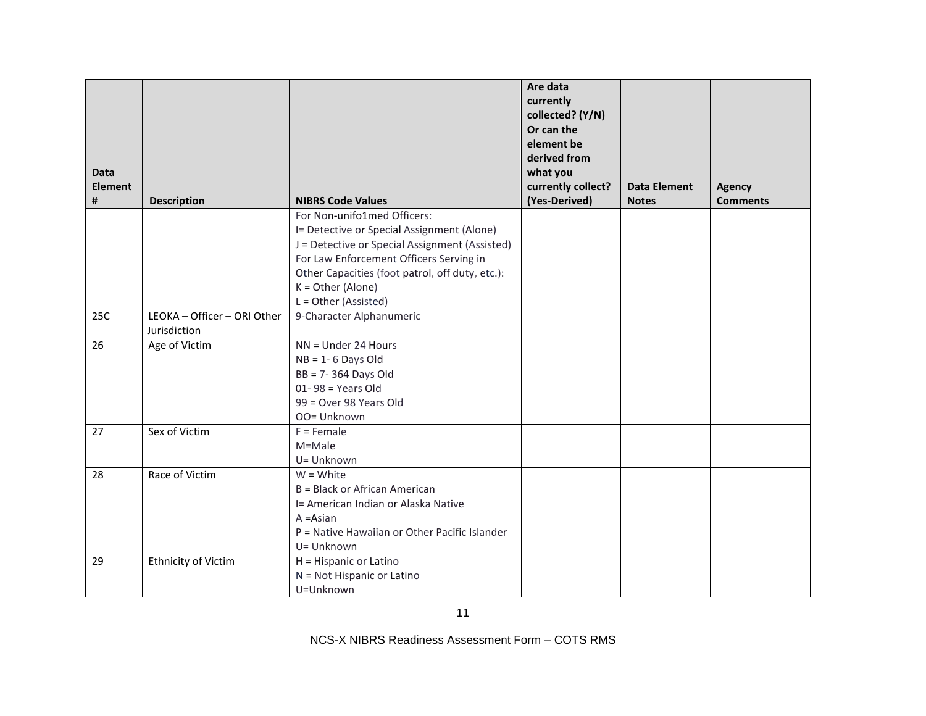|                             |                                                                              | Are data<br>currently<br>collected? (Y/N)<br>Or can the<br>element be<br>derived from<br>what you                                                                                                                                                                                                                                                                                                                                                                                                                                                                                                                                                                  |                                     |                 |
|-----------------------------|------------------------------------------------------------------------------|--------------------------------------------------------------------------------------------------------------------------------------------------------------------------------------------------------------------------------------------------------------------------------------------------------------------------------------------------------------------------------------------------------------------------------------------------------------------------------------------------------------------------------------------------------------------------------------------------------------------------------------------------------------------|-------------------------------------|-----------------|
|                             |                                                                              |                                                                                                                                                                                                                                                                                                                                                                                                                                                                                                                                                                                                                                                                    | <b>Data Element</b>                 | <b>Agency</b>   |
|                             |                                                                              |                                                                                                                                                                                                                                                                                                                                                                                                                                                                                                                                                                                                                                                                    |                                     | <b>Comments</b> |
|                             |                                                                              |                                                                                                                                                                                                                                                                                                                                                                                                                                                                                                                                                                                                                                                                    |                                     |                 |
|                             |                                                                              |                                                                                                                                                                                                                                                                                                                                                                                                                                                                                                                                                                                                                                                                    |                                     |                 |
|                             |                                                                              |                                                                                                                                                                                                                                                                                                                                                                                                                                                                                                                                                                                                                                                                    |                                     |                 |
|                             |                                                                              |                                                                                                                                                                                                                                                                                                                                                                                                                                                                                                                                                                                                                                                                    |                                     |                 |
|                             |                                                                              |                                                                                                                                                                                                                                                                                                                                                                                                                                                                                                                                                                                                                                                                    |                                     |                 |
|                             |                                                                              |                                                                                                                                                                                                                                                                                                                                                                                                                                                                                                                                                                                                                                                                    |                                     |                 |
| LEOKA - Officer - ORI Other | 9-Character Alphanumeric                                                     |                                                                                                                                                                                                                                                                                                                                                                                                                                                                                                                                                                                                                                                                    |                                     |                 |
| Jurisdiction                |                                                                              |                                                                                                                                                                                                                                                                                                                                                                                                                                                                                                                                                                                                                                                                    |                                     |                 |
| Age of Victim               | NN = Under 24 Hours                                                          |                                                                                                                                                                                                                                                                                                                                                                                                                                                                                                                                                                                                                                                                    |                                     |                 |
|                             | $NB = 1 - 6$ Days Old                                                        |                                                                                                                                                                                                                                                                                                                                                                                                                                                                                                                                                                                                                                                                    |                                     |                 |
|                             |                                                                              |                                                                                                                                                                                                                                                                                                                                                                                                                                                                                                                                                                                                                                                                    |                                     |                 |
|                             |                                                                              |                                                                                                                                                                                                                                                                                                                                                                                                                                                                                                                                                                                                                                                                    |                                     |                 |
|                             |                                                                              |                                                                                                                                                                                                                                                                                                                                                                                                                                                                                                                                                                                                                                                                    |                                     |                 |
|                             |                                                                              |                                                                                                                                                                                                                                                                                                                                                                                                                                                                                                                                                                                                                                                                    |                                     |                 |
|                             |                                                                              |                                                                                                                                                                                                                                                                                                                                                                                                                                                                                                                                                                                                                                                                    |                                     |                 |
|                             |                                                                              |                                                                                                                                                                                                                                                                                                                                                                                                                                                                                                                                                                                                                                                                    |                                     |                 |
|                             |                                                                              |                                                                                                                                                                                                                                                                                                                                                                                                                                                                                                                                                                                                                                                                    |                                     |                 |
|                             |                                                                              |                                                                                                                                                                                                                                                                                                                                                                                                                                                                                                                                                                                                                                                                    |                                     |                 |
|                             |                                                                              |                                                                                                                                                                                                                                                                                                                                                                                                                                                                                                                                                                                                                                                                    |                                     |                 |
|                             |                                                                              |                                                                                                                                                                                                                                                                                                                                                                                                                                                                                                                                                                                                                                                                    |                                     |                 |
|                             |                                                                              |                                                                                                                                                                                                                                                                                                                                                                                                                                                                                                                                                                                                                                                                    |                                     |                 |
|                             |                                                                              |                                                                                                                                                                                                                                                                                                                                                                                                                                                                                                                                                                                                                                                                    |                                     |                 |
|                             |                                                                              |                                                                                                                                                                                                                                                                                                                                                                                                                                                                                                                                                                                                                                                                    |                                     |                 |
|                             |                                                                              |                                                                                                                                                                                                                                                                                                                                                                                                                                                                                                                                                                                                                                                                    |                                     |                 |
|                             | U=Unknown                                                                    |                                                                                                                                                                                                                                                                                                                                                                                                                                                                                                                                                                                                                                                                    |                                     |                 |
|                             | <b>Description</b><br>Sex of Victim<br>Race of Victim<br>Ethnicity of Victim | <b>NIBRS Code Values</b><br>For Non-unifo1med Officers:<br>I= Detective or Special Assignment (Alone)<br>J = Detective or Special Assignment (Assisted)<br>For Law Enforcement Officers Serving in<br>Other Capacities (foot patrol, off duty, etc.):<br>$K = Other$ (Alone)<br>L = Other (Assisted)<br>BB = 7-364 Days Old<br>$01 - 98 = Years Old$<br>99 = Over 98 Years Old<br>OO= Unknown<br>$F =$ Female<br>M=Male<br>U= Unknown<br>$W = White$<br>B = Black or African American<br>I= American Indian or Alaska Native<br>$A = Asian$<br>P = Native Hawaiian or Other Pacific Islander<br>U= Unknown<br>H = Hispanic or Latino<br>N = Not Hispanic or Latino | currently collect?<br>(Yes-Derived) | <b>Notes</b>    |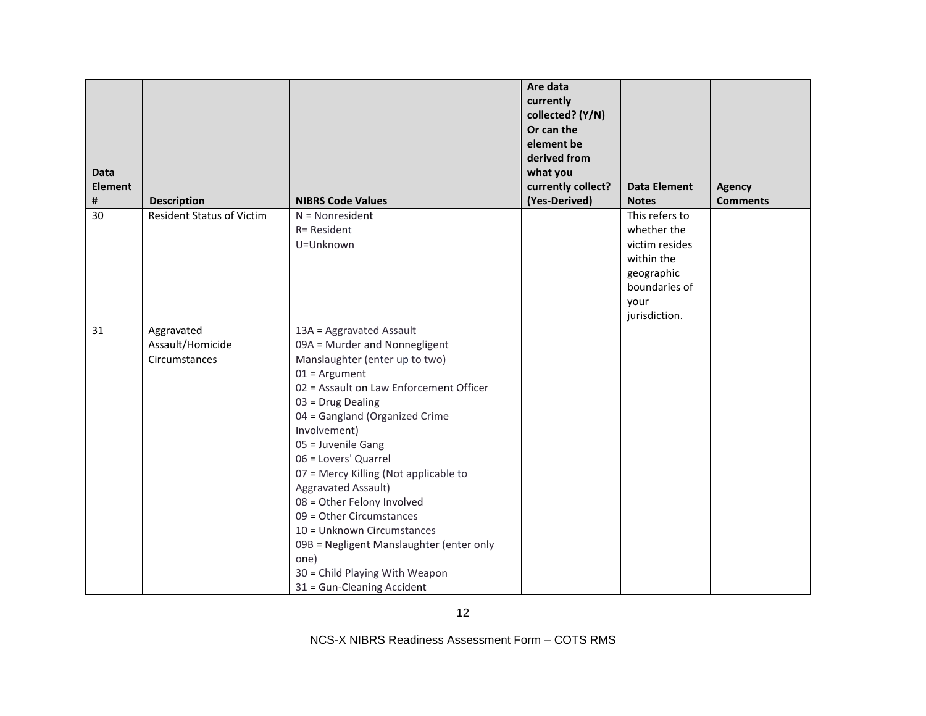| <b>Data</b><br><b>Element</b><br># | <b>Description</b>                              | <b>NIBRS Code Values</b>                                                                                                                                                                                                                                                                                                                                                                                                                                                                                                                                   | Are data<br>currently<br>collected? (Y/N)<br>Or can the<br>element be<br>derived from<br>what you<br>currently collect?<br>(Yes-Derived) | <b>Data Element</b><br><b>Notes</b>                                                                                   | <b>Agency</b><br><b>Comments</b> |
|------------------------------------|-------------------------------------------------|------------------------------------------------------------------------------------------------------------------------------------------------------------------------------------------------------------------------------------------------------------------------------------------------------------------------------------------------------------------------------------------------------------------------------------------------------------------------------------------------------------------------------------------------------------|------------------------------------------------------------------------------------------------------------------------------------------|-----------------------------------------------------------------------------------------------------------------------|----------------------------------|
| 30                                 | <b>Resident Status of Victim</b>                | $N = Nonresident$<br>R= Resident<br>U=Unknown                                                                                                                                                                                                                                                                                                                                                                                                                                                                                                              |                                                                                                                                          | This refers to<br>whether the<br>victim resides<br>within the<br>geographic<br>boundaries of<br>your<br>jurisdiction. |                                  |
| 31                                 | Aggravated<br>Assault/Homicide<br>Circumstances | 13A = Aggravated Assault<br>09A = Murder and Nonnegligent<br>Manslaughter (enter up to two)<br>$01 =$ Argument<br>02 = Assault on Law Enforcement Officer<br>03 = Drug Dealing<br>04 = Gangland (Organized Crime<br>Involvement)<br>05 = Juvenile Gang<br>06 = Lovers' Quarrel<br>07 = Mercy Killing (Not applicable to<br>Aggravated Assault)<br>08 = Other Felony Involved<br>09 = Other Circumstances<br>10 = Unknown Circumstances<br>09B = Negligent Manslaughter (enter only<br>one)<br>30 = Child Playing With Weapon<br>31 = Gun-Cleaning Accident |                                                                                                                                          |                                                                                                                       |                                  |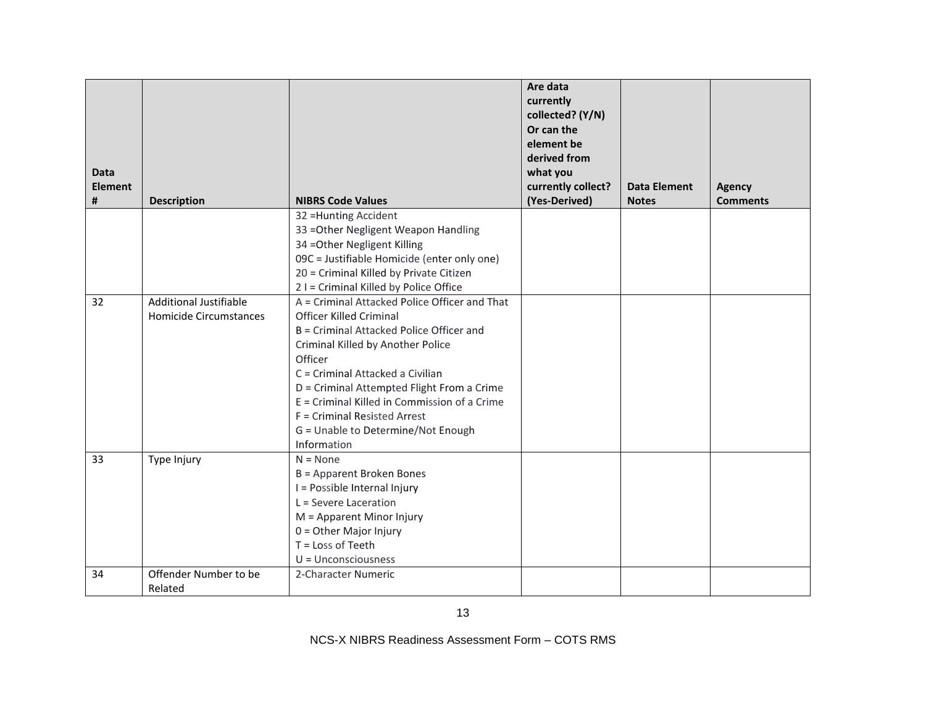| <b>Data</b><br><b>Element</b><br># | <b>Description</b>            | <b>NIBRS Code Values</b>                      | Are data<br>currently<br>collected? (Y/N)<br>Or can the<br>element be<br>derived from<br>what you<br>currently collect?<br>(Yes-Derived) | <b>Data Element</b><br><b>Notes</b> | <b>Agency</b><br><b>Comments</b> |
|------------------------------------|-------------------------------|-----------------------------------------------|------------------------------------------------------------------------------------------------------------------------------------------|-------------------------------------|----------------------------------|
|                                    |                               | 32 = Hunting Accident                         |                                                                                                                                          |                                     |                                  |
|                                    |                               | 33 = Other Negligent Weapon Handling          |                                                                                                                                          |                                     |                                  |
|                                    |                               | 34 = Other Negligent Killing                  |                                                                                                                                          |                                     |                                  |
|                                    |                               | 09C = Justifiable Homicide (enter only one)   |                                                                                                                                          |                                     |                                  |
|                                    |                               | 20 = Criminal Killed by Private Citizen       |                                                                                                                                          |                                     |                                  |
|                                    |                               | 2 I = Criminal Killed by Police Office        |                                                                                                                                          |                                     |                                  |
| 32                                 | <b>Additional Justifiable</b> | A = Criminal Attacked Police Officer and That |                                                                                                                                          |                                     |                                  |
|                                    | Homicide Circumstances        | <b>Officer Killed Criminal</b>                |                                                                                                                                          |                                     |                                  |
|                                    |                               | B = Criminal Attacked Police Officer and      |                                                                                                                                          |                                     |                                  |
|                                    |                               | Criminal Killed by Another Police             |                                                                                                                                          |                                     |                                  |
|                                    |                               | Officer                                       |                                                                                                                                          |                                     |                                  |
|                                    |                               | C = Criminal Attacked a Civilian              |                                                                                                                                          |                                     |                                  |
|                                    |                               | D = Criminal Attempted Flight From a Crime    |                                                                                                                                          |                                     |                                  |
|                                    |                               | E = Criminal Killed in Commission of a Crime  |                                                                                                                                          |                                     |                                  |
|                                    |                               | F = Criminal Resisted Arrest                  |                                                                                                                                          |                                     |                                  |
|                                    |                               | G = Unable to Determine/Not Enough            |                                                                                                                                          |                                     |                                  |
|                                    |                               | Information                                   |                                                                                                                                          |                                     |                                  |
| 33                                 | Type Injury                   | $N = None$                                    |                                                                                                                                          |                                     |                                  |
|                                    |                               | B = Apparent Broken Bones                     |                                                                                                                                          |                                     |                                  |
|                                    |                               | I = Possible Internal Injury                  |                                                                                                                                          |                                     |                                  |
|                                    |                               | L = Severe Laceration                         |                                                                                                                                          |                                     |                                  |
|                                    |                               | M = Apparent Minor Injury                     |                                                                                                                                          |                                     |                                  |
|                                    |                               | $0 =$ Other Major Injury<br>T = Loss of Teeth |                                                                                                                                          |                                     |                                  |
|                                    |                               | $U =$ Unconsciousness                         |                                                                                                                                          |                                     |                                  |
| 34                                 | Offender Number to be         | 2-Character Numeric                           |                                                                                                                                          |                                     |                                  |
|                                    | Related                       |                                               |                                                                                                                                          |                                     |                                  |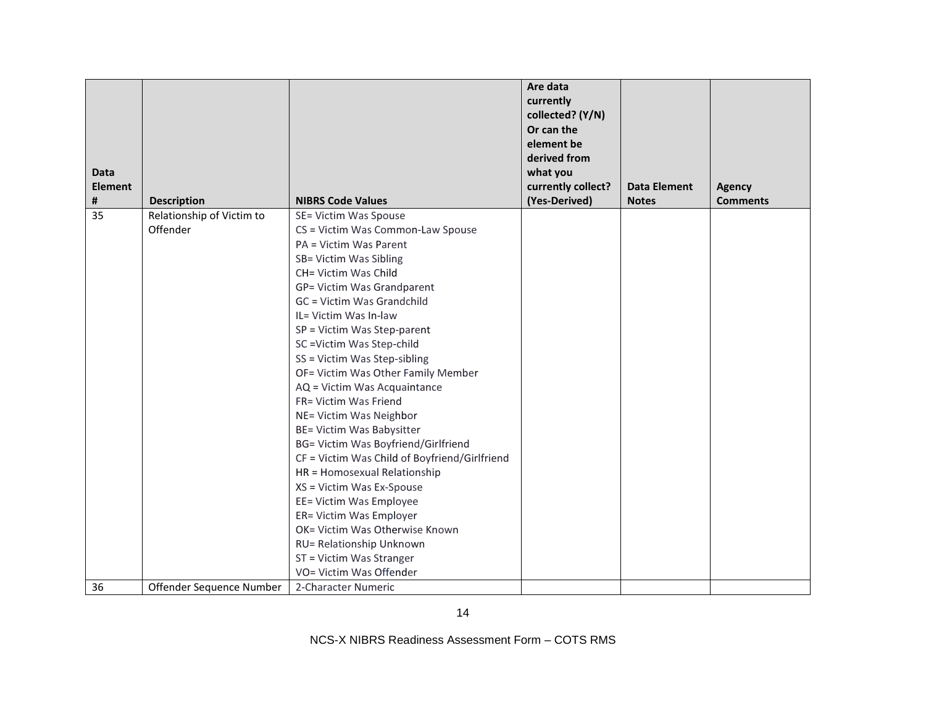|                |                           |                                               | Are data<br>currently<br>collected? (Y/N)<br>Or can the<br>element be<br>derived from |                     |                 |
|----------------|---------------------------|-----------------------------------------------|---------------------------------------------------------------------------------------|---------------------|-----------------|
| <b>Data</b>    |                           |                                               | what you                                                                              |                     |                 |
| <b>Element</b> |                           |                                               | currently collect?                                                                    | <b>Data Element</b> | <b>Agency</b>   |
| #              | <b>Description</b>        | <b>NIBRS Code Values</b>                      | (Yes-Derived)                                                                         | <b>Notes</b>        | <b>Comments</b> |
| 35             | Relationship of Victim to | SE= Victim Was Spouse                         |                                                                                       |                     |                 |
|                | Offender                  | CS = Victim Was Common-Law Spouse             |                                                                                       |                     |                 |
|                |                           | PA = Victim Was Parent                        |                                                                                       |                     |                 |
|                |                           | SB= Victim Was Sibling                        |                                                                                       |                     |                 |
|                |                           | CH= Victim Was Child                          |                                                                                       |                     |                 |
|                |                           | GP= Victim Was Grandparent                    |                                                                                       |                     |                 |
|                |                           | GC = Victim Was Grandchild                    |                                                                                       |                     |                 |
|                |                           | IL= Victim Was In-law                         |                                                                                       |                     |                 |
|                |                           | SP = Victim Was Step-parent                   |                                                                                       |                     |                 |
|                |                           | SC = Victim Was Step-child                    |                                                                                       |                     |                 |
|                |                           | SS = Victim Was Step-sibling                  |                                                                                       |                     |                 |
|                |                           | OF= Victim Was Other Family Member            |                                                                                       |                     |                 |
|                |                           | AQ = Victim Was Acquaintance                  |                                                                                       |                     |                 |
|                |                           | FR= Victim Was Friend                         |                                                                                       |                     |                 |
|                |                           | NE= Victim Was Neighbor                       |                                                                                       |                     |                 |
|                |                           | BE= Victim Was Babysitter                     |                                                                                       |                     |                 |
|                |                           | <b>BG= Victim Was Boyfriend/Girlfriend</b>    |                                                                                       |                     |                 |
|                |                           | CF = Victim Was Child of Boyfriend/Girlfriend |                                                                                       |                     |                 |
|                |                           | HR = Homosexual Relationship                  |                                                                                       |                     |                 |
|                |                           | XS = Victim Was Ex-Spouse                     |                                                                                       |                     |                 |
|                |                           | EE= Victim Was Employee                       |                                                                                       |                     |                 |
|                |                           | ER= Victim Was Employer                       |                                                                                       |                     |                 |
|                |                           | OK= Victim Was Otherwise Known                |                                                                                       |                     |                 |
|                |                           | RU= Relationship Unknown                      |                                                                                       |                     |                 |
|                |                           | ST = Victim Was Stranger                      |                                                                                       |                     |                 |
|                |                           | VO= Victim Was Offender                       |                                                                                       |                     |                 |
| 36             | Offender Sequence Number  | 2-Character Numeric                           |                                                                                       |                     |                 |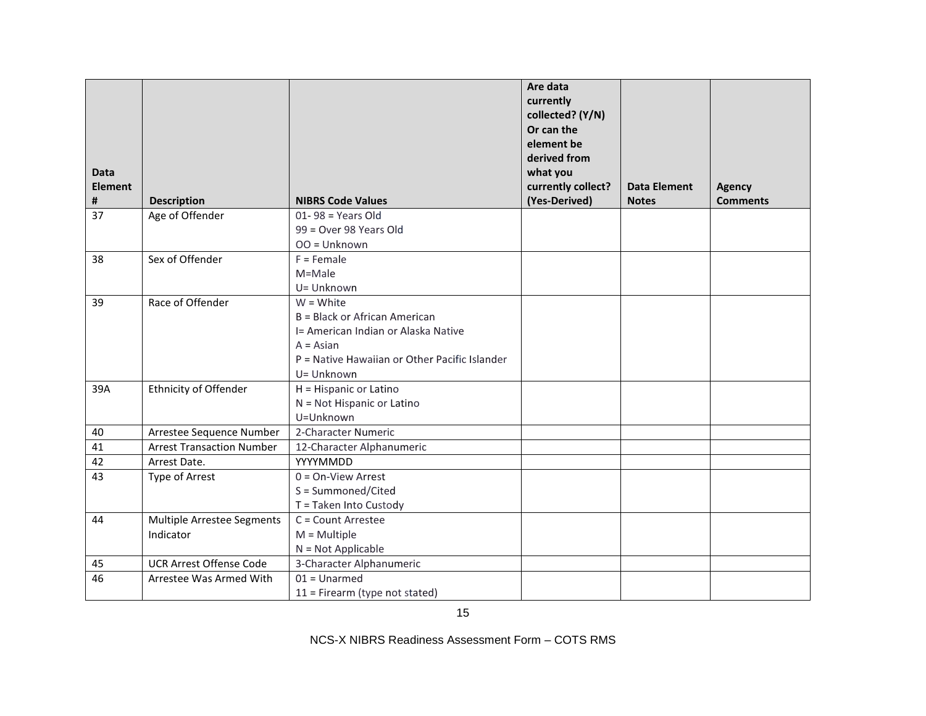| <b>Data</b><br><b>Element</b> |                                  |                                               | Are data<br>currently<br>collected? (Y/N)<br>Or can the<br>element be<br>derived from<br>what you<br>currently collect? | <b>Data Element</b> | <b>Agency</b>   |
|-------------------------------|----------------------------------|-----------------------------------------------|-------------------------------------------------------------------------------------------------------------------------|---------------------|-----------------|
| #                             | <b>Description</b>               | <b>NIBRS Code Values</b>                      | (Yes-Derived)                                                                                                           | <b>Notes</b>        | <b>Comments</b> |
| 37                            | Age of Offender                  | $01 - 98 = Years Old$                         |                                                                                                                         |                     |                 |
|                               |                                  | 99 = Over 98 Years Old                        |                                                                                                                         |                     |                 |
|                               |                                  | OO = Unknown                                  |                                                                                                                         |                     |                 |
| 38                            | Sex of Offender                  | $F =$ Female                                  |                                                                                                                         |                     |                 |
|                               |                                  | M=Male                                        |                                                                                                                         |                     |                 |
|                               |                                  | U= Unknown                                    |                                                                                                                         |                     |                 |
| 39                            | Race of Offender                 | $W = White$                                   |                                                                                                                         |                     |                 |
|                               |                                  | B = Black or African American                 |                                                                                                                         |                     |                 |
|                               |                                  | I= American Indian or Alaska Native           |                                                                                                                         |                     |                 |
|                               |                                  | $A = Asian$                                   |                                                                                                                         |                     |                 |
|                               |                                  | P = Native Hawaiian or Other Pacific Islander |                                                                                                                         |                     |                 |
|                               |                                  | U= Unknown                                    |                                                                                                                         |                     |                 |
| 39A                           | <b>Ethnicity of Offender</b>     | H = Hispanic or Latino                        |                                                                                                                         |                     |                 |
|                               |                                  | N = Not Hispanic or Latino                    |                                                                                                                         |                     |                 |
|                               |                                  | U=Unknown                                     |                                                                                                                         |                     |                 |
| 40                            | Arrestee Sequence Number         | 2-Character Numeric                           |                                                                                                                         |                     |                 |
| 41                            | <b>Arrest Transaction Number</b> | 12-Character Alphanumeric                     |                                                                                                                         |                     |                 |
| 42                            | Arrest Date.                     | YYYYMMDD                                      |                                                                                                                         |                     |                 |
| 43                            | Type of Arrest                   | $0 = On-View$ Arrest                          |                                                                                                                         |                     |                 |
|                               |                                  | S = Summoned/Cited                            |                                                                                                                         |                     |                 |
|                               |                                  | T = Taken Into Custody                        |                                                                                                                         |                     |                 |
| 44                            | Multiple Arrestee Segments       | C = Count Arrestee                            |                                                                                                                         |                     |                 |
|                               | Indicator                        | $M = Multiple$                                |                                                                                                                         |                     |                 |
|                               |                                  | $N = Not Applicable$                          |                                                                                                                         |                     |                 |
| 45                            | <b>UCR Arrest Offense Code</b>   | 3-Character Alphanumeric                      |                                                                                                                         |                     |                 |
| 46                            | Arrestee Was Armed With          | $01 =$ Unarmed                                |                                                                                                                         |                     |                 |
|                               |                                  | $11$ = Firearm (type not stated)              |                                                                                                                         |                     |                 |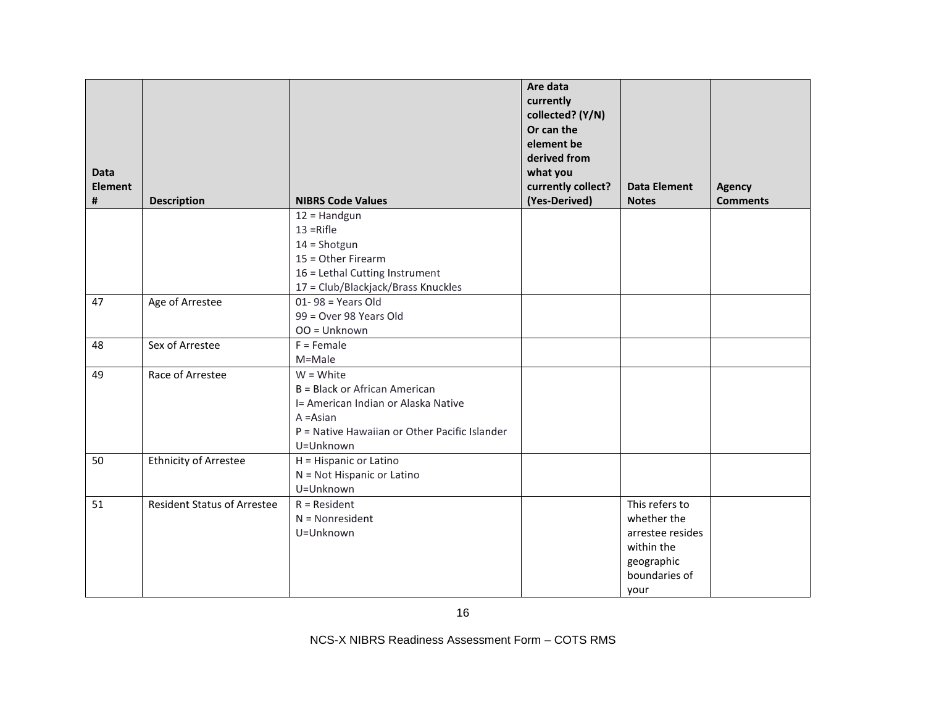| <b>Data</b><br><b>Element</b><br># | <b>Description</b>                 | <b>NIBRS Code Values</b>                      | Are data<br>currently<br>collected? (Y/N)<br>Or can the<br>element be<br>derived from<br>what you<br>currently collect?<br>(Yes-Derived) | <b>Data Element</b><br><b>Notes</b> | <b>Agency</b><br><b>Comments</b> |
|------------------------------------|------------------------------------|-----------------------------------------------|------------------------------------------------------------------------------------------------------------------------------------------|-------------------------------------|----------------------------------|
|                                    |                                    | $12 =$ Handgun                                |                                                                                                                                          |                                     |                                  |
|                                    |                                    | $13 =$ Rifle                                  |                                                                                                                                          |                                     |                                  |
|                                    |                                    | $14 =$ Shotgun                                |                                                                                                                                          |                                     |                                  |
|                                    |                                    | 15 = Other Firearm                            |                                                                                                                                          |                                     |                                  |
|                                    |                                    | 16 = Lethal Cutting Instrument                |                                                                                                                                          |                                     |                                  |
|                                    |                                    | 17 = Club/Blackjack/Brass Knuckles            |                                                                                                                                          |                                     |                                  |
| 47                                 | Age of Arrestee                    | $01 - 98 = Years Old$                         |                                                                                                                                          |                                     |                                  |
|                                    |                                    | 99 = Over 98 Years Old                        |                                                                                                                                          |                                     |                                  |
|                                    |                                    | $OO = Unknown$                                |                                                                                                                                          |                                     |                                  |
| 48                                 | Sex of Arrestee                    | $F =$ Female                                  |                                                                                                                                          |                                     |                                  |
|                                    |                                    | M=Male                                        |                                                                                                                                          |                                     |                                  |
| 49                                 | Race of Arrestee                   | $W = White$                                   |                                                                                                                                          |                                     |                                  |
|                                    |                                    | B = Black or African American                 |                                                                                                                                          |                                     |                                  |
|                                    |                                    | I= American Indian or Alaska Native           |                                                                                                                                          |                                     |                                  |
|                                    |                                    | $A = Asian$                                   |                                                                                                                                          |                                     |                                  |
|                                    |                                    | P = Native Hawaiian or Other Pacific Islander |                                                                                                                                          |                                     |                                  |
|                                    |                                    | U=Unknown                                     |                                                                                                                                          |                                     |                                  |
| 50                                 | <b>Ethnicity of Arrestee</b>       | H = Hispanic or Latino                        |                                                                                                                                          |                                     |                                  |
|                                    |                                    | N = Not Hispanic or Latino                    |                                                                                                                                          |                                     |                                  |
|                                    |                                    | U=Unknown                                     |                                                                                                                                          |                                     |                                  |
| 51                                 | <b>Resident Status of Arrestee</b> | $R = Resident$                                |                                                                                                                                          | This refers to                      |                                  |
|                                    |                                    | $N = Nonresident$                             |                                                                                                                                          | whether the                         |                                  |
|                                    |                                    | U=Unknown                                     |                                                                                                                                          | arrestee resides                    |                                  |
|                                    |                                    |                                               |                                                                                                                                          | within the                          |                                  |
|                                    |                                    |                                               |                                                                                                                                          | geographic                          |                                  |
|                                    |                                    |                                               |                                                                                                                                          | boundaries of                       |                                  |
|                                    |                                    |                                               |                                                                                                                                          | your                                |                                  |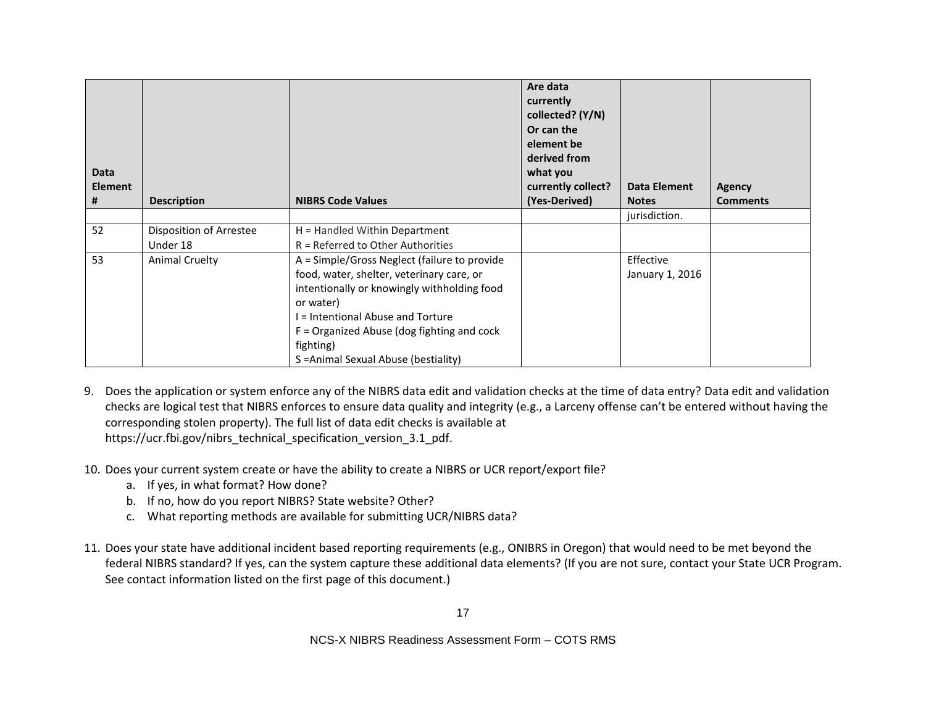| <b>Data</b><br><b>Element</b><br># | <b>Description</b>      | <b>NIBRS Code Values</b>                     | Are data<br>currently<br>collected? (Y/N)<br>Or can the<br>element be<br>derived from<br>what you<br>currently collect?<br>(Yes-Derived) | <b>Data Element</b><br><b>Notes</b> | <b>Agency</b><br><b>Comments</b> |
|------------------------------------|-------------------------|----------------------------------------------|------------------------------------------------------------------------------------------------------------------------------------------|-------------------------------------|----------------------------------|
|                                    |                         |                                              |                                                                                                                                          | jurisdiction.                       |                                  |
| 52                                 | Disposition of Arrestee | $H =$ Handled Within Department              |                                                                                                                                          |                                     |                                  |
|                                    | Under 18                | $R =$ Referred to Other Authorities          |                                                                                                                                          |                                     |                                  |
| 53                                 | <b>Animal Cruelty</b>   | A = Simple/Gross Neglect (failure to provide |                                                                                                                                          | Effective                           |                                  |
|                                    |                         | food, water, shelter, veterinary care, or    |                                                                                                                                          | January 1, 2016                     |                                  |
|                                    |                         | intentionally or knowingly withholding food  |                                                                                                                                          |                                     |                                  |
|                                    |                         | or water)                                    |                                                                                                                                          |                                     |                                  |
|                                    |                         | I = Intentional Abuse and Torture            |                                                                                                                                          |                                     |                                  |
|                                    |                         | $F =$ Organized Abuse (dog fighting and cock |                                                                                                                                          |                                     |                                  |
|                                    |                         | fighting)                                    |                                                                                                                                          |                                     |                                  |
|                                    |                         | S = Animal Sexual Abuse (bestiality)         |                                                                                                                                          |                                     |                                  |

9. Does the application or system enforce any of the NIBRS data edit and validation checks at the time of data entry? Data edit and validation checks are logical test that NIBRS enforces to ensure data quality and integrity (e.g., a Larceny offense can't be entered without having the corresponding stolen property). The full list of data edit checks is available at https://ucr.fbi.gov/nibrs\_technical\_specification\_version\_3.1\_pdf.

- 10. Does your current system create or have the ability to create a NIBRS or UCR report/export file?
	- a. If yes, in what format? How done?
	- b. If no, how do you report NIBRS? State website? Other?
	- c. What reporting methods are available for submitting UCR/NIBRS data?
- 11. Does your state have additional incident based reporting requirements (e.g., ONIBRS in Oregon) that would need to be met beyond the federal NIBRS standard? If yes, can the system capture these additional data elements? (If you are not sure, contact your State UCR Program. See contact information listed on the first page of this document.)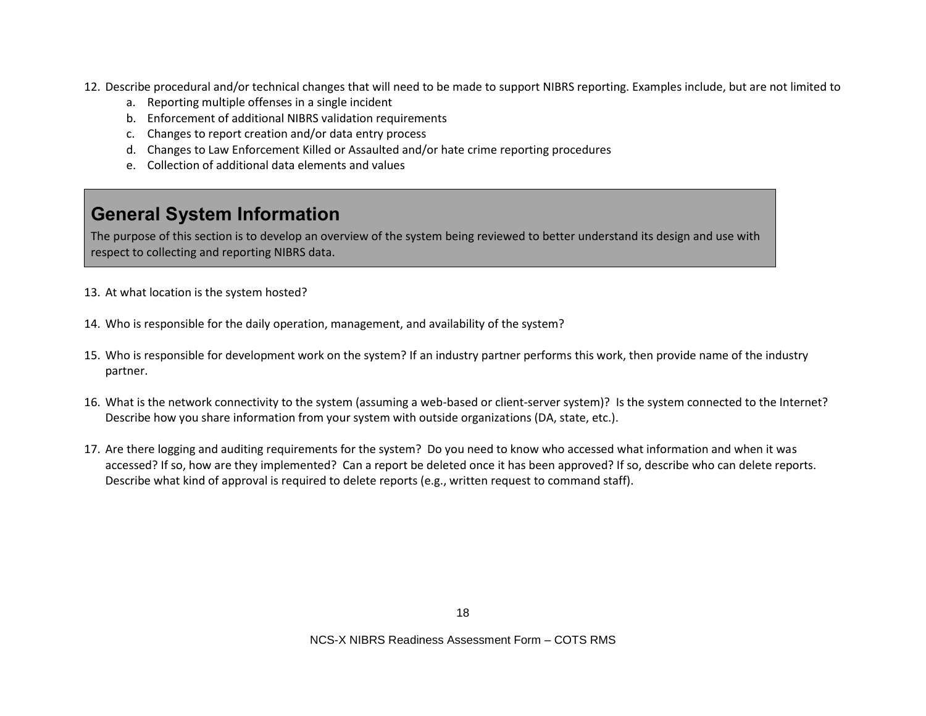- 12. Describe procedural and/or technical changes that will need to be made to support NIBRS reporting. Examples include, but are not limited to
	- a. Reporting multiple offenses in a single incident
	- b. Enforcement of additional NIBRS validation requirements
	- c. Changes to report creation and/or data entry process
	- d. Changes to Law Enforcement Killed or Assaulted and/or hate crime reporting procedures
	- e. Collection of additional data elements and values

# **General System Information**

The purpose of this section is to develop an overview of the system being reviewed to better understand its design and use with respect to collecting and reporting NIBRS data.

- 13. At what location is the system hosted?
- 14. Who is responsible for the daily operation, management, and availability of the system?
- 15. Who is responsible for development work on the system? If an industry partner performs this work, then provide name of the industry partner.
- 16. What is the network connectivity to the system (assuming a web-based or client-server system)? Is the system connected to the Internet? Describe how you share information from your system with outside organizations (DA, state, etc.).
- 17. Are there logging and auditing requirements for the system? Do you need to know who accessed what information and when it was accessed? If so, how are they implemented? Can a report be deleted once it has been approved? If so, describe who can delete reports. Describe what kind of approval is required to delete reports (e.g., written request to command staff).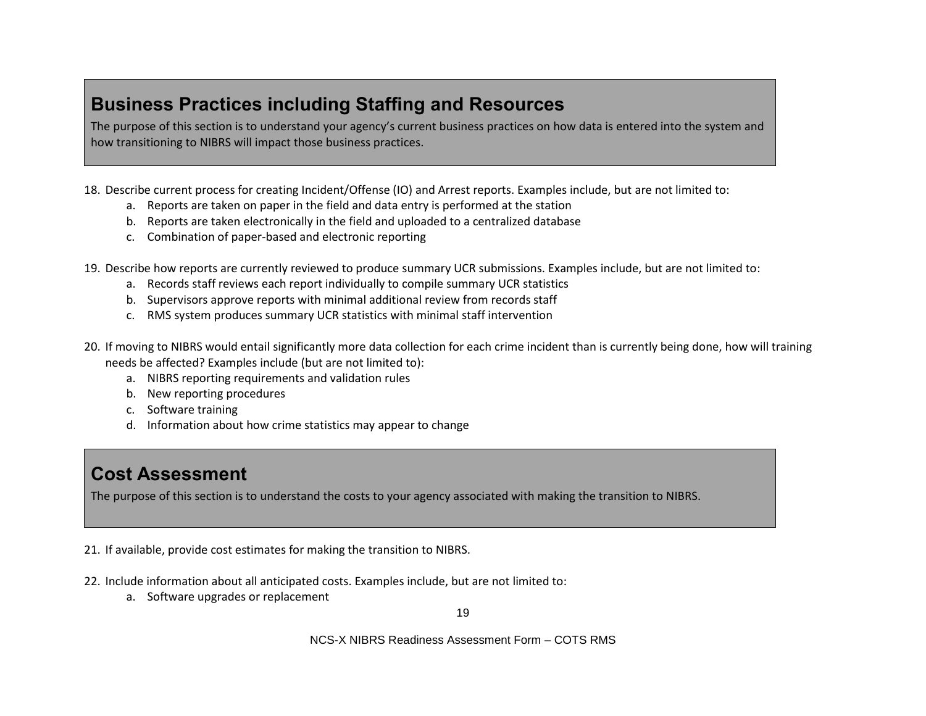## **Business Practices including Staffing and Resources**

The purpose of this section is to understand your agency's current business practices on how data is entered into the system and how transitioning to NIBRS will impact those business practices.

- 18. Describe current process for creating Incident/Offense (IO) and Arrest reports. Examples include, but are not limited to:
	- a. Reports are taken on paper in the field and data entry is performed at the station
	- b. Reports are taken electronically in the field and uploaded to a centralized database
	- c. Combination of paper-based and electronic reporting
- 19. Describe how reports are currently reviewed to produce summary UCR submissions. Examples include, but are not limited to:
	- a. Records staff reviews each report individually to compile summary UCR statistics
	- b. Supervisors approve reports with minimal additional review from records staff
	- c. RMS system produces summary UCR statistics with minimal staff intervention
- 20. If moving to NIBRS would entail significantly more data collection for each crime incident than is currently being done, how will training needs be affected? Examples include (but are not limited to):
	- a. NIBRS reporting requirements and validation rules
	- b. New reporting procedures
	- c. Software training
	- d. Information about how crime statistics may appear to change

## **Cost Assessment**

The purpose of this section is to understand the costs to your agency associated with making the transition to NIBRS.

21. If available, provide cost estimates for making the transition to NIBRS.

- 22. Include information about all anticipated costs. Examples include, but are not limited to:
	- a. Software upgrades or replacement

19